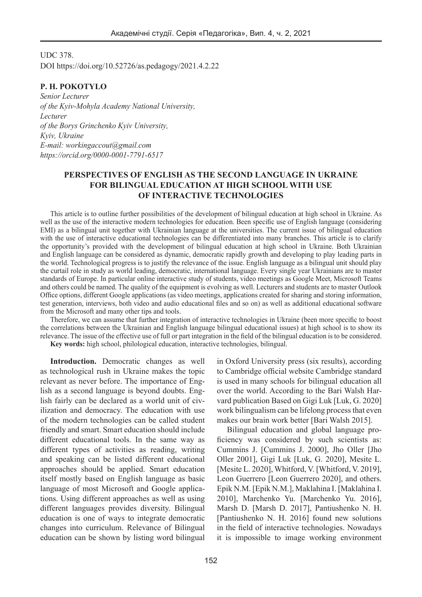UDC 378. DOI https://doi.org/10.52726/as.pedagogy/2021.4.2.22

**P. H. POKOTYLO**  *Senior Lecturer of the Kyiv-Mohyla Academy National University, Lecturer of the Borys Grinchenko Kyiv University, Kyiv, Ukraine E-mail: workingaccout@gmail.com https://orcid.org/0000-0001-7791-6517*

## **PERSPECTIVES OF ENGLISH AS THE SECOND LANGUAGE IN UKRAINE FOR BILINGUAL EDUCATION AT HIGH SCHOOL WITH USE OF INTERACTIVE TECHNOLOGIES**

This article is to outline further possibilities of the development of bilingual education at high school in Ukraine. As well as the use of the interactive modern technologies for education. Been specific use of English language (considering EMI) as a bilingual unit together with Ukrainian language at the universities. The current issue of bilingual education with the use of interactive educational technologies can be differentiated into many branches. This article is to clarify the opportunity's provided with the development of bilingual education at high school in Ukraine. Both Ukrainian and English language can be considered as dynamic, democratic rapidly growth and developing to play leading parts in the world. Technological progress is to justify the relevance of the issue. English language as a bilingual unit should play the curtail role in study as world leading, democratic, international language. Every single year Ukrainians are to master standards of Europe. In particular online interactive study of students, video meetings as Google Meet, Microsoft Teams and others could be named. The quality of the equipment is evolving as well. Lecturers and students are to master Outlook Office options, different Google applications (as video meetings, applications created for sharing and storing information, test generation, interviews, both video and audio educational files and so on) as well as additional educational software from the Microsoft and many other tips and tools.

Therefore, we can assume that further integration of interactive technologies in Ukraine (been more specific to boost the correlations between the Ukrainian and English language bilingual educational issues) at high school is to show its relevance. The issue of the effective use of full or part integration in the field of the bilingual education is to be considered. **Key words:** high school, philological education, interactive technologies, bilingual.

**Introduction.** Democratic changes as well as technological rush in Ukraine makes the topic relevant as never before. The importance of English as a second language is beyond doubts. English fairly can be declared as a world unit of civilization and democracy. The education with use of the modern technologies can be called student friendly and smart. Smart education should include different educational tools. In the same way as different types of activities as reading, writing and speaking can be listed different educational approaches should be applied. Smart education itself mostly based on English language as basic language of most Microsoft and Google applications. Using different approaches as well as using different languages provides diversity. Bilingual education is one of ways to integrate democratic changes into curriculum. Relevance of Bilingual education can be shown by listing word bilingual

in Oxford University press (six results), according to Cambridge official website Cambridge standard is used in many schools for bilingual education all over the world. According to the Bari Walsh Harvard publication Based on Gigi Luk [Luk, G. 2020] work bilingualism can be lifelong process that even makes our brain work better [Bari Walsh 2015].

Bilingual education and global language proficiency was considered by such scientists as: Cummins J. [Cummins J. 2000], Jho Oller [Jho Oller 2001], Gigi Luk [Luk, G. 2020], Mesite L. [Mesite L. 2020], Whitford, V. [Whitford, V. 2019], Leon Guerrero [Leon Guerrero 2020], and others. Epik N.M. [Epik N.M.], Maklahina I. [Maklahina I. 2010], Marchenko Yu. [Marchenko Yu. 2016], Marsh D. [Marsh D. 2017], Pantiushenko N. H. [Pantiushenko N. H. 2016] found new solutions in the field of interactive technologies. Nowadays it is impossible to image working environment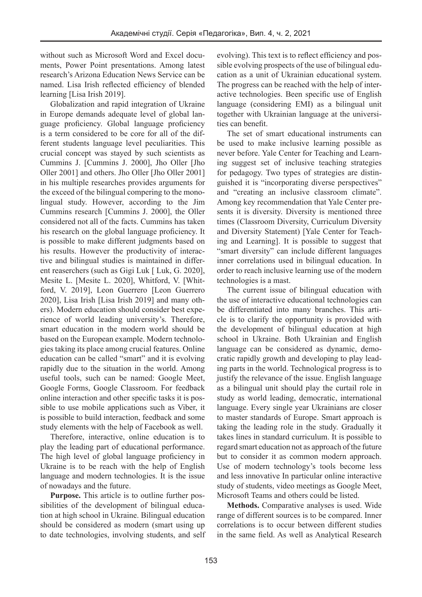without such as Microsoft Word and Excel documents, Power Point presentations. Among latest research's Arizona Education News Service can be named. Lisa Irish reflected efficiency of blended learning [Lisa Irish 2019].

Globalization and rapid integration of Ukraine in Europe demands adequate level of global language proficiency. Global language proficiency is a term considered to be core for all of the different students language level peculiarities. This crucial concept was stayed by such scientists as Cummins J. [Cummins J. 2000], Jho Oller [Jho Oller 2001] and others. Jho Oller [Jho Oller 2001] in his multiple researches provides arguments for the exceed of the bilingual compering to the monolingual study. However, according to the Jim Cummins research [Cummins J. 2000], the Oller considered not all of the facts. Cummins has taken his research on the global language proficiency. It is possible to make different judgments based on his results. However the productivity of interactive and bilingual studies is maintained in different reaserchers (such as Gigi Luk [ Luk, G. 2020], Mesite L. [Mesite L. 2020], Whitford, V. [Whitford, V. 2019], Leon Guerrero [Leon Guerrero 2020], Lisa Irish [Lisa Irish 2019] and many others). Modern education should consider best experience of world leading university's. Therefore, smart education in the modern world should be based on the European example. Modern technologies taking its place among crucial features. Online education can be called "smart" and it is evolving rapidly due to the situation in the world. Among useful tools, such can be named: Google Meet, Google Forms, Google Classroom. For feedback online interaction and other specific tasks it is possible to use mobile applications such as Viber, it is possible to build interaction, feedback and some study elements with the help of Facebook as well.

Therefore, interactive, online education is to play the leading part of educational performance. The high level of global language proficiency in Ukraine is to be reach with the help of English language and modern technologies. It is the issue of nowadays and the future.

**Purpose.** This article is to outline further possibilities of the development of bilingual education at high school in Ukraine. Bilingual education should be considered as modern (smart using up to date technologies, involving students, and self evolving). This text is to reflect efficiency and possible evolving prospects of the use of bilingual education as a unit of Ukrainian educational system. The progress can be reached with the help of interactive technologies. Been specific use of English language (considering EMI) as a bilingual unit together with Ukrainian language at the universities can benefit.

The set of smart educational instruments can be used to make inclusive learning possible as never before. Yale Center for Teaching and Learning suggest set of inclusive teaching strategies for pedagogy. Two types of strategies are distinguished it is "incorporating diverse perspectives" and "creating an inclusive classroom climate". Among key recommendation that Yale Center presents it is diversity. Diversity is mentioned three times (Classroom Diversity, Curriculum Diversity and Diversity Statement) [Yale Center for Teaching and Learning]. It is possible to suggest that "smart diversity" can include different languages inner correlations used in bilingual education. In order to reach inclusive learning use of the modern technologies is a mast.

The current issue of bilingual education with the use of interactive educational technologies can be differentiated into many branches. This article is to clarify the opportunity is provided with the development of bilingual education at high school in Ukraine. Both Ukrainian and English language can be considered as dynamic, democratic rapidly growth and developing to play leading parts in the world. Technological progress is to justify the relevance of the issue. English language as a bilingual unit should play the curtail role in study as world leading, democratic, international language. Every single year Ukrainians are closer to master standards of Europe. Smart approach is taking the leading role in the study. Gradually it takes lines in standard curriculum. It is possible to regard smart education not as approach of the future but to consider it as common modern approach. Use of modern technology's tools become less and less innovative In particular online interactive study of students, video meetings as Google Meet, Microsoft Teams and others could be listed.

**Methods.** Comparative analyses is used. Wide range of different sources is to be compared. Inner correlations is to occur between different studies in the same field. As well as Analytical Research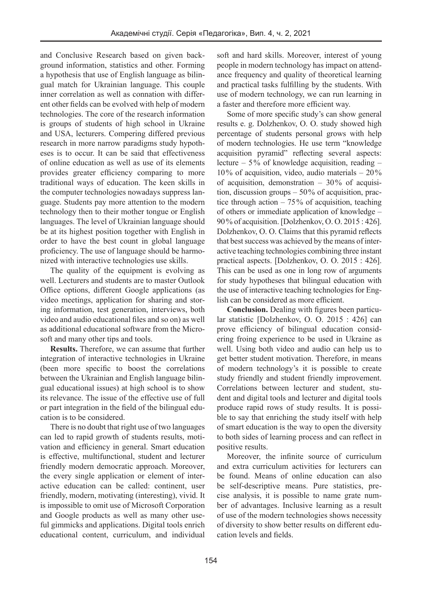and Conclusive Research based on given background information, statistics and other. Forming a hypothesis that use of English language as bilingual match for Ukrainian language. This couple inner correlation as well as connation with different other fields can be evolved with help of modern technologies. The core of the research information is groups of students of high school in Ukraine and USA, lecturers. Compering differed previous research in more narrow paradigms study hypotheses is to occur. It can be said that effectiveness of online education as well as use of its elements provides greater efficiency comparing to more traditional ways of education. The keen skills in the computer technologies nowadays suppress language. Students pay more attention to the modern technology then to their mother tongue or English languages. The level of Ukrainian language should be at its highest position together with English in order to have the best count in global language proficiency. The use of language should be harmonized with interactive technologies use skills.

The quality of the equipment is evolving as well. Lecturers and students are to master Outlook Office options, different Google applications (as video meetings, application for sharing and storing information, test generation, interviews, both video and audio educational files and so on) as well as additional educational software from the Microsoft and many other tips and tools.

**Results.** Therefore, we can assume that further integration of interactive technologies in Ukraine (been more specific to boost the correlations between the Ukrainian and English language bilingual educational issues) at high school is to show its relevance. The issue of the effective use of full or part integration in the field of the bilingual education is to be considered.

There is no doubt that right use of two languages can led to rapid growth of students results, motivation and efficiency in general. Smart education is effective, multifunctional, student and lecturer friendly modern democratic approach. Moreover, the every single application or element of interactive education can be called: continent, user friendly, modern, motivating (interesting), vivid. It is impossible to omit use of Microsoft Corporation and Google products as well as many other useful gimmicks and applications. Digital tools enrich educational content, curriculum, and individual soft and hard skills. Moreover, interest of young people in modern technology has impact on attendance frequency and quality of theoretical learning and practical tasks fulfilling by the students. With use of modern technology, we can run learning in a faster and therefore more efficient way.

Some of more specific study's can show general results e. g. Dolzhenkov, O. O. study showed high percentage of students personal grows with help of modern technologies. He use term "knowledge acquisition pyramid" reflecting several aspects: lecture – 5% of knowledge acquisition, reading –  $10\%$  of acquisition, video, audio materials  $-20\%$ of acquisition, demonstration  $-30\%$  of acquisition, discussion groups  $-50\%$  of acquisition, practice through action  $-75\%$  of acquisition, teaching of others or immediate application of knowledge – 90% of acquisition. [Dolzhenkov, O. O. 2015 : 426]. Dolzhenkov, O. O. Claims that this pyramid reflects that best success was achieved by the means of interactive teaching technologies combining three instant practical aspects. [Dolzhenkov, O. O. 2015 : 426]. This can be used as one in long row of arguments for study hypotheses that bilingual education with the use of interactive teaching technologies for English can be considered as more efficient.

**Conclusion.** Dealing with figures been particular statistic [Dolzhenkov, O. O. 2015 : 426] can prove efficiency of bilingual education considering froing experience to be used in Ukraine as well. Using both video and audio can help us to get better student motivation. Therefore, in means of modern technology's it is possible to create study friendly and student friendly improvement. Correlations between lecturer and student, student and digital tools and lecturer and digital tools produce rapid rows of study results. It is possible to say that enriching the study itself with help of smart education is the way to open the diversity to both sides of learning process and can reflect in positive results.

Moreover, the infinite source of curriculum and extra curriculum activities for lecturers can be found. Means of online education can also be self-descriptive means. Pure statistics, precise analysis, it is possible to name grate number of advantages. Inclusive learning as a result of use of the modern technologies shows necessity of diversity to show better results on different education levels and fields.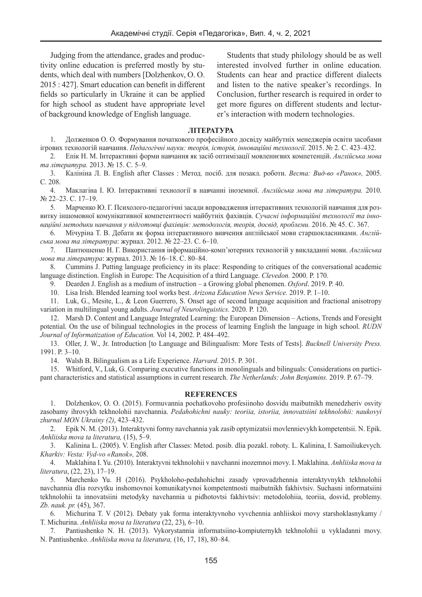Judging from the attendance, grades and productivity online education is preferred mostly by students, which deal with numbers [Dolzhenkov, O. O. 2015 : 427]. Smart education can benefit in different fields so particularly in Ukraine it can be applied for high school as student have appropriate level of background knowledge of English language.

Students that study philology should be as well interested involved further in online education. Students can hear and practice different dialects and listen to the native speaker's recordings. In Conclusion, further research is required in order to get more figures on different students and lecturer's interaction with modern technologies.

### **ЛІТЕРАТУРА**

1. Долженков О. О. Формування початкового професійного досвіду майбутніх менеджерів освіти засобами ігрових технологій навчання. *Педагогічні науки: теорія, історія, інноваційні технології.* 2015. № 2. С. 423–432.

2. Епік Н. М. Інтерактивні форми навчання як засіб оптимізації мовленнєвих компетенцій. *Англійська мова та література.* 2013. № 15. С. 5–9.

3. Калініна Л. В. English after Classes : Метод. посіб. для позакл. роботи. *Веста: Вид-во «Ранок»,* 2005. C. 208.

4. Маклагіна І. Ю. Інтерактивні технології в навчанні іноземної. *Aнглійська мова та література.* 2010. № 22–23. С. 17–19.

5. Марченко Ю. Г. Психолого-педагогічні засади впровадження інтерактивних технологій навчання для розвитку іншомовної комунікативної компетентності майбутніх фахівців. *Сучасні інформаційні технології та інноваційні методики навчання у підготовці фахівців: методологія, теорія, досвід, проблеми.* 2016. № 45. C. 367.

6. Мічуріна Т. В. Дебати як форма інтерактивного вивчення англійської мови старшокласниками. *Англійська мова та література*: журнал. 2012. № 22–23. С. 6–10.

7. Пантюшенко Н. Г. Використання інформаційно-комп'ютерних технологій у викладанні мови. *Англійська мова та література*: журнал. 2013. № 16–18. С. 80–84.

8. Cummins J. Putting language proficiency in its place: Responding to critiques of the conversational academic language distinction. English in Europe: The Acquisition of a third Language. *Clevedon.* 2000. Р. 170.

9. Dearden J. English as a medium of instruction – a Growing global phenomen. *Oxford*. 2019. Р. 40.

10. Lisa Irish. Blended learning tool works best. *Arizona Education News Service.* 2019. P. 1–10.

11. Luk, G., Mesite, L., & Leon Guerrero, S. Onset age of second language acquisition and fractional anisotropy variation in multilingual young adults. *Journal of Neurolinguistics.* 2020. P. 120.

12. Marsh D. Content and Language Integrated Learning: the European Dimension – Actions, Trends and Foresight potential. On the use of bilingual technologies in the process of learning English the language in high school. *RUDN Journal of Informatization of Education.* Vol 14, 2002. P. 484–492.

13. Oller, J. W., Jr. Introduction [to Language and Bilingualism: More Tests of Tests]. *Bucknell University Press.* 1991. P. 3–10.

14. Walsh B. Bilingualism as a Life Experience. *Harvard*. 2015. P. 301.

15. Whitford, V., Luk, G. Comparing executive functions in monolinguals and bilinguals: Considerations on participant characteristics and statistical assumptions in current research. *The Netherlands: John Benjamins.* 2019. P. 67–79.

#### **REFERENCES**

1. Dolzhenkov, O. O. (2015). Formuvannia pochatkovoho profesiinoho dosvidu maibutnikh menedzheriv osvity zasobamy ihrovykh tekhnolohii navchannia. *Pedahohichni nauky: teoriia, istoriia, innovatsiini tekhnolohii: naukovyi zhurnal MON Ukrainy (2)*, 423–432.

2. Epik N. M. (2013). Interaktyvni formy navchannia yak zasib optymizatsii movlennievykh kompetentsii. N. Epik. *Anhliiska mova ta literatura,* (15), 5–9.

3. Kalinina L. (2005). V. English after Classes: Metod. posib. dlia pozakl. roboty. L. Kalinina, I. Samoiliukevych. *Kharkiv: Vesta: Vyd-vo «Ranok»,* 208.

4. Maklahina I. Yu. (2010). Interaktyvni tekhnolohii v navchanni inozemnoi movy. I. Maklahina. *Anhliiska mova ta literatura*, (22, 23), 17–19.

5. Marchenko Yu. H (2016). Psykholoho-pedahohichni zasady vprovadzhennia interaktyvnykh tekhnolohii navchannia dlia rozvytku inshomovnoi komunikatyvnoi kompetentnosti maibutnikh fakhivtsiv. Suchasni informatsiini tekhnolohii ta innovatsiini metodyky navchannia u pidhotovtsi fakhivtsiv: metodolohiia, teoriia, dosvid, problemy. *Zb. nauk. pr.* (45), 367.

6. Michurina T. V (2012). Debaty yak forma interaktyvnoho vyvchennia anhliiskoi movy starshoklasnykamy / T. Michurina. *Anhliiska mova ta literatura* (22, 23), 6–10.

7. Pantiushenko N. H. (2013). Vykorystannia informatsiino-kompiuternykh tekhnolohii u vykladanni movy. N. Pantiushenko. *Anhliiska mova ta literatura,* (16, 17, 18), 80–84.